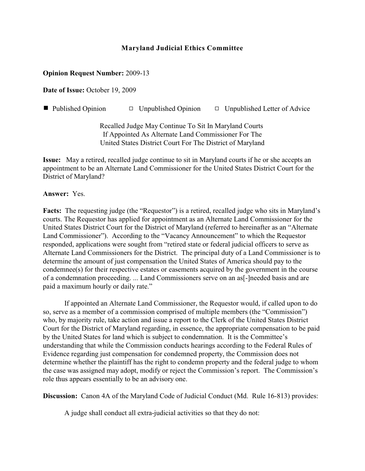# **Maryland Judicial Ethics Committee**

#### **Opinion Request Number:** 2009-13

**Date of Issue:** October 19, 2009

 $\blacksquare$  Published Opinion  $\blacksquare$  Unpublished Opinion  $\blacksquare$  Unpublished Letter of Advice

Recalled Judge May Continue To Sit In Maryland Courts If Appointed As Alternate Land Commissioner For The United States District Court For The District of Maryland

**Issue:** May a retired, recalled judge continue to sit in Maryland courts if he or she accepts an appointment to be an Alternate Land Commissioner for the United States District Court for the District of Maryland?

#### **Answer:** Yes.

**Facts:** The requesting judge (the "Requestor") is a retired, recalled judge who sits in Maryland's courts. The Requestor has applied for appointment as an Alternate Land Commissioner for the United States District Court for the District of Maryland (referred to hereinafter as an "Alternate Land Commissioner"). According to the "Vacancy Announcement" to which the Requestor responded, applications were sought from "retired state or federal judicial officers to serve as Alternate Land Commissioners for the District. The principal duty of a Land Commissioner is to determine the amount of just compensation the United States of America should pay to the condemnee(s) for their respective estates or easements acquired by the government in the course of a condemnation proceeding. ... Land Commissioners serve on an as[-]needed basis and are paid a maximum hourly or daily rate."

If appointed an Alternate Land Commissioner, the Requestor would, if called upon to do so, serve as a member of a commission comprised of multiple members (the "Commission") who, by majority rule, take action and issue a report to the Clerk of the United States District Court for the District of Maryland regarding, in essence, the appropriate compensation to be paid by the United States for land which is subject to condemnation. It is the Committee's understanding that while the Commission conducts hearings according to the Federal Rules of Evidence regarding just compensation for condemned property, the Commission does not determine whether the plaintiff has the right to condemn property and the federal judge to whom the case was assigned may adopt, modify or reject the Commission's report. The Commission's role thus appears essentially to be an advisory one.

**Discussion:** Canon 4A of the Maryland Code of Judicial Conduct (Md. Rule 16-813) provides:

A judge shall conduct all extra-judicial activities so that they do not: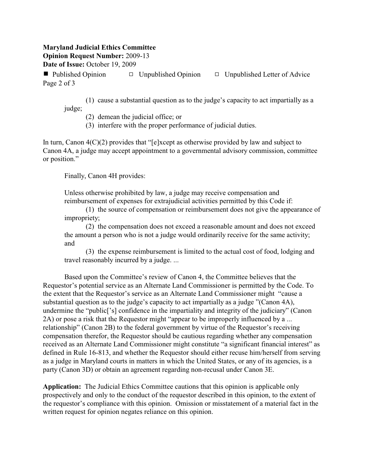### **Maryland Judicial Ethics Committee Opinion Request Number:** 2009-13 **Date of Issue:** October 19, 2009

**Published Opinion**  $\Box$  Unpublished Opinion  $\Box$  Unpublished Letter of Advice Page 2 of 3

(1) cause a substantial question as to the judge's capacity to act impartially as a judge;

(2) demean the judicial office; or

(3) interfere with the proper performance of judicial duties.

In turn, Canon  $4(C)(2)$  provides that "[e]xcept as otherwise provided by law and subject to Canon 4A, a judge may accept appointment to a governmental advisory commission, committee or position."

Finally, Canon 4H provides:

Unless otherwise prohibited by law, a judge may receive compensation and reimbursement of expenses for extrajudicial activities permitted by this Code if:

(1) the source of compensation or reimbursement does not give the appearance of impropriety;

(2) the compensation does not exceed a reasonable amount and does not exceed the amount a person who is not a judge would ordinarily receive for the same activity; and

(3) the expense reimbursement is limited to the actual cost of food, lodging and travel reasonably incurred by a judge. ...

Based upon the Committee's review of Canon 4, the Committee believes that the Requestor's potential service as an Alternate Land Commissioner is permitted by the Code. To the extent that the Requestor's service as an Alternate Land Commissioner might "cause a substantial question as to the judge's capacity to act impartially as a judge "(Canon 4A), undermine the "public['s] confidence in the impartiality and integrity of the judiciary" (Canon 2A) or pose a risk that the Requestor might "appear to be improperly influenced by a ... relationship" (Canon 2B) to the federal government by virtue of the Requestor's receiving compensation therefor, the Requestor should be cautious regarding whether any compensation received as an Alternate Land Commissioner might constitute "a significant financial interest" as defined in Rule 16-813, and whether the Requestor should either recuse him/herself from serving as a judge in Maryland courts in matters in which the United States, or any of its agencies, is a party (Canon 3D) or obtain an agreement regarding non-recusal under Canon 3E.

**Application:** The Judicial Ethics Committee cautions that this opinion is applicable only prospectively and only to the conduct of the requestor described in this opinion, to the extent of the requestor's compliance with this opinion. Omission or misstatement of a material fact in the written request for opinion negates reliance on this opinion.